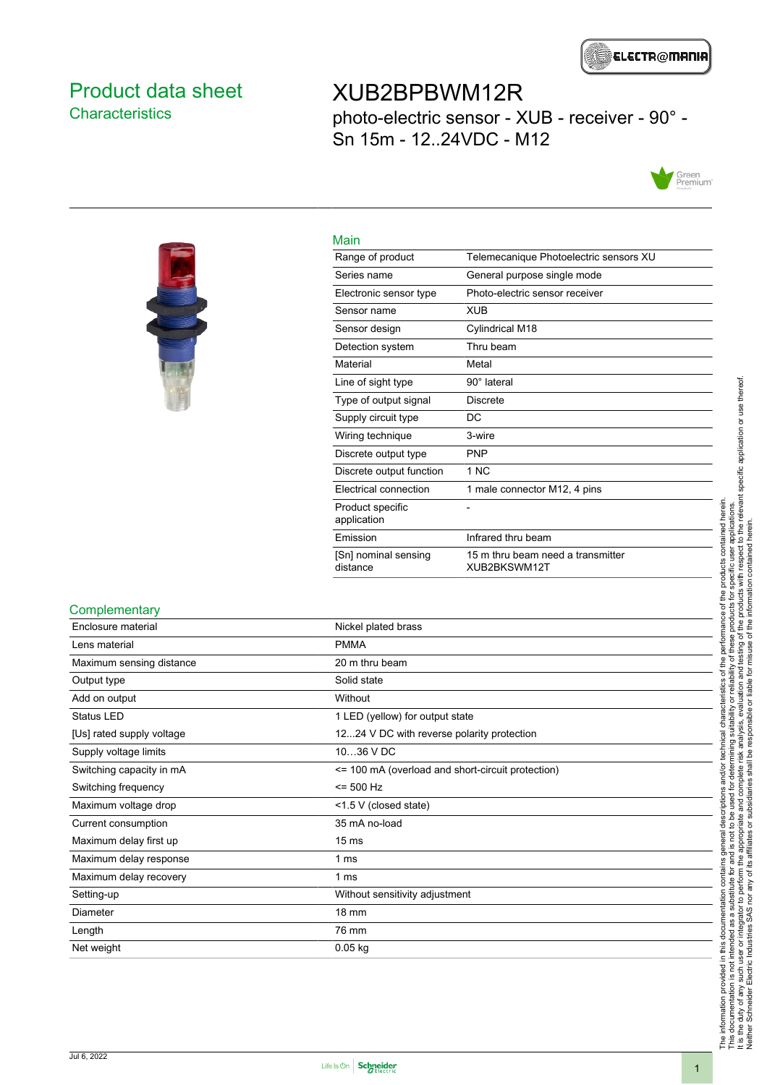

### <span id="page-0-0"></span>Product data sheet **Characteristics**

## XUB2BPBWM12R

photo-electric sensor - XUB - receiver - 90° - Sn 15m - 12..24VDC - M12





| Main                             |                                                   |
|----------------------------------|---------------------------------------------------|
| Range of product                 | Telemecanique Photoelectric sensors XU            |
| Series name                      | General purpose single mode                       |
| Electronic sensor type           | Photo-electric sensor receiver                    |
| Sensor name                      | <b>XUB</b>                                        |
| Sensor design                    | Cylindrical M18                                   |
| Detection system                 | Thru beam                                         |
| Material                         | Metal                                             |
| Line of sight type               | $90^\circ$ lateral                                |
| Type of output signal            | <b>Discrete</b>                                   |
| Supply circuit type              | DC                                                |
| Wiring technique                 | 3-wire                                            |
| Discrete output type             | <b>PNP</b>                                        |
| Discrete output function         | 1 NC                                              |
| Electrical connection            | 1 male connector M12, 4 pins                      |
| Product specific<br>application  |                                                   |
| Emission                         | Infrared thru beam                                |
| [Sn] nominal sensing<br>distance | 15 m thru beam need a transmitter<br>XUB2BKSWM12T |

#### **Complementary**

| Enclosure material        | Nickel plated brass                               |
|---------------------------|---------------------------------------------------|
| Lens material             | <b>PMMA</b>                                       |
| Maximum sensing distance  | 20 m thru beam                                    |
| Output type               | Solid state                                       |
| Add on output             | Without                                           |
| Status LED                | 1 LED (yellow) for output state                   |
| [Us] rated supply voltage | 1224 V DC with reverse polarity protection        |
| Supply voltage limits     | 1036 V DC                                         |
| Switching capacity in mA  | <= 100 mA (overload and short-circuit protection) |
| Switching frequency       | $= 500$ Hz                                        |
| Maximum voltage drop      | <1.5 V (closed state)                             |
| Current consumption       | 35 mA no-load                                     |
| Maximum delay first up    | 15 <sub>ms</sub>                                  |
| Maximum delay response    | 1 ms                                              |
| Maximum delay recovery    | 1 ms                                              |
| Setting-up                | Without sensitivity adjustment                    |
| Diameter                  | 18 mm                                             |
| Length                    | 76 mm                                             |
| Net weight                | $0.05$ kg                                         |

The information provided in this documentation contains general descriptions and/or technical characteristics of the performance of the products contained herein.<br>This documentation is not intended as a substitute for and It is the duty of any such user or integrator to perform the appropriate and complete risk analysis, evaluation and testing of the products with respect to the relevant specific application or use thereof. The information provided in this documentation contains general descriptions and/or technical characteristics of the performance of the products contained herein. This documentation is not intended as a substitute for and is not to be used for determining suitability or reliability of these products for specific user applications. Neither Schneider Electric Industries SAS nor any of its affiliates or subsidiaries shall be responsible or liable for misuse of the information contained herein.

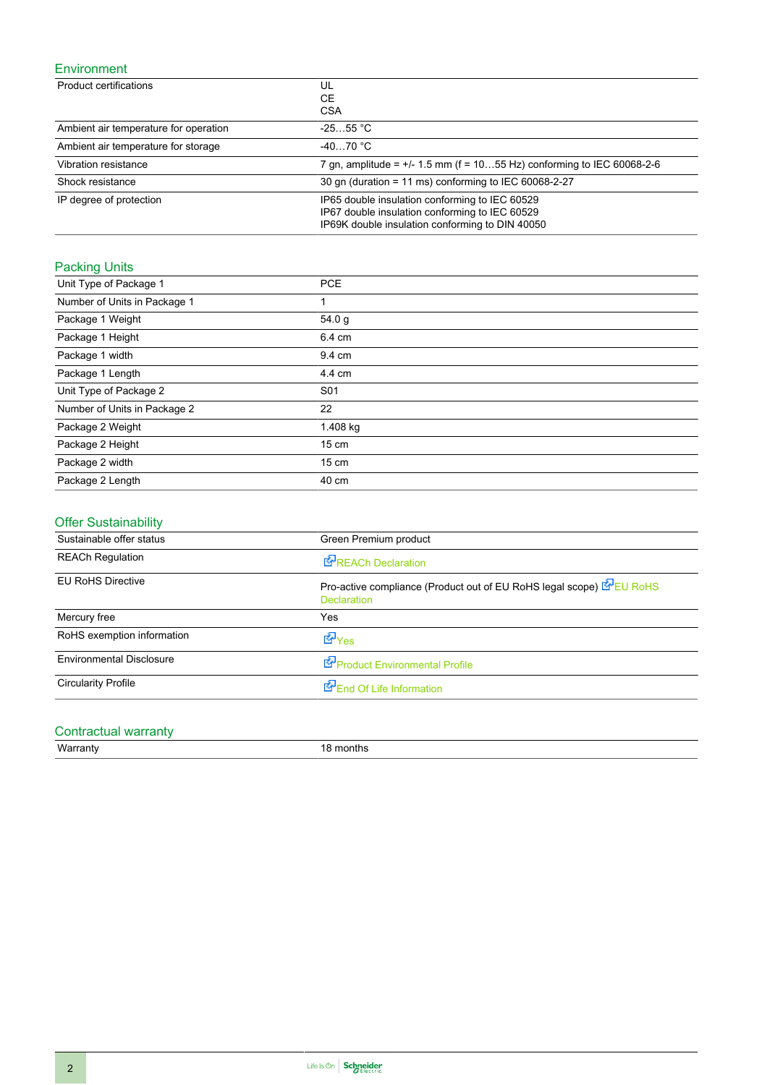#### Environment

| Product certifications                | UL                                                                                                                                                  |
|---------------------------------------|-----------------------------------------------------------------------------------------------------------------------------------------------------|
|                                       | СE<br><b>CSA</b>                                                                                                                                    |
| Ambient air temperature for operation | $-2555$ °C                                                                                                                                          |
| Ambient air temperature for storage   | $-4070 °C$                                                                                                                                          |
| Vibration resistance                  | 7 gn, amplitude = $+/$ 1.5 mm (f = 1055 Hz) conforming to IEC 60068-2-6                                                                             |
| Shock resistance                      | 30 gn (duration = 11 ms) conforming to IEC 60068-2-27                                                                                               |
| IP degree of protection               | IP65 double insulation conforming to IEC 60529<br>IP67 double insulation conforming to IEC 60529<br>IP69K double insulation conforming to DIN 40050 |

## **Packing Units**

| Unit Type of Package 1       | <b>PCE</b>      |
|------------------------------|-----------------|
| Number of Units in Package 1 | 1               |
| Package 1 Weight             | 54.0 g          |
| Package 1 Height             | 6.4 cm          |
| Package 1 width              | 9.4 cm          |
| Package 1 Length             | 4.4 cm          |
| Unit Type of Package 2       | S <sub>01</sub> |
| Number of Units in Package 2 | 22              |
| Package 2 Weight             | 1.408 kg        |
| Package 2 Height             | $15 \text{ cm}$ |
| Package 2 width              | $15 \text{ cm}$ |
| Package 2 Length             | 40 cm           |

### Offer Sustainability

| Sustainable offer status        | Green Premium product                                                                      |
|---------------------------------|--------------------------------------------------------------------------------------------|
| <b>REACh Regulation</b>         | REACh Declaration                                                                          |
| <b>EU RoHS Directive</b>        | Pro-active compliance (Product out of EU RoHS legal scope) E EU RoHS<br><b>Declaration</b> |
| Mercury free                    | Yes                                                                                        |
| RoHS exemption information      | <b>E</b> Yes                                                                               |
| <b>Environmental Disclosure</b> | Product Environmental Profile                                                              |
| <b>Circularity Profile</b>      | End Of Life Information                                                                    |

# Contractual warranty<br>Warranty

18 months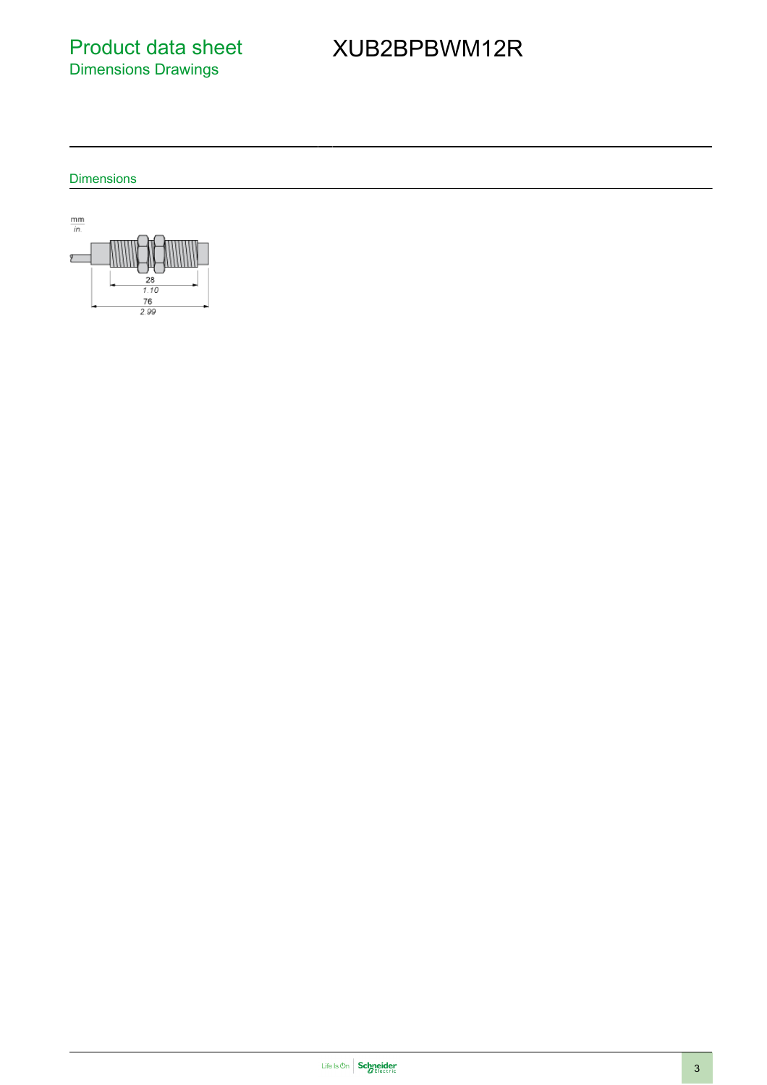Product data sheet Dimensions Drawings

# XUB2BPBWM12R

**Dimensions** 

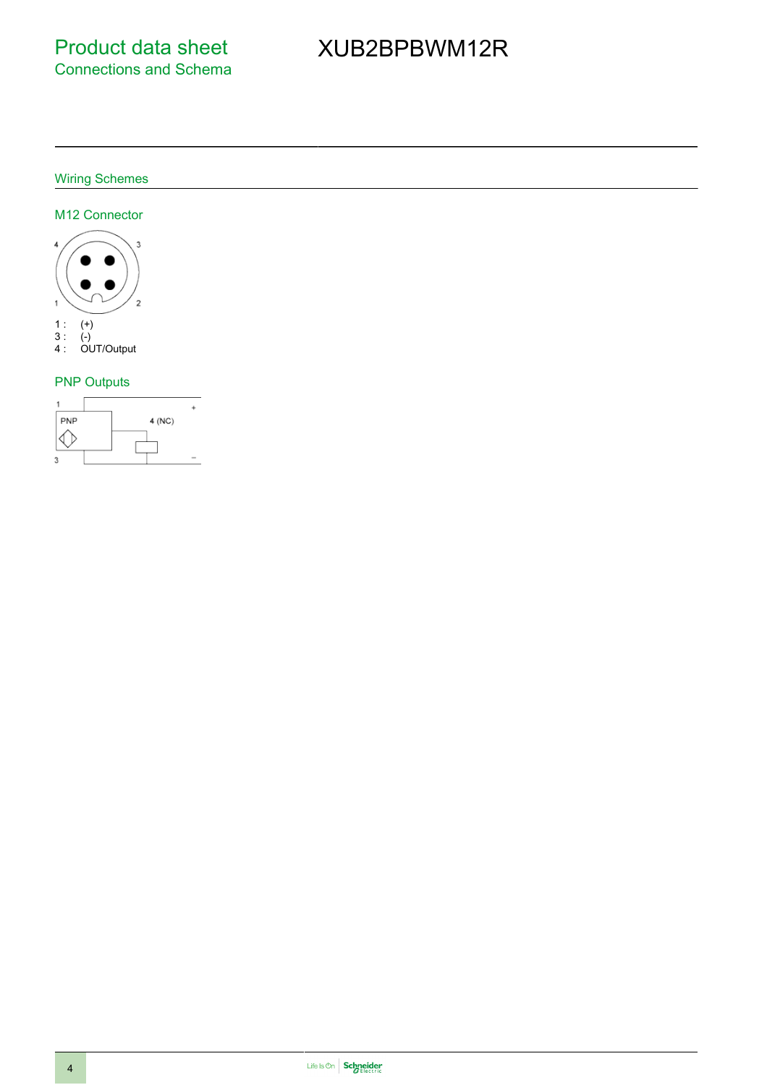# XUB2BPBWM12R

#### Wiring Schemes

#### M12 Connector



#### PNP Outputs